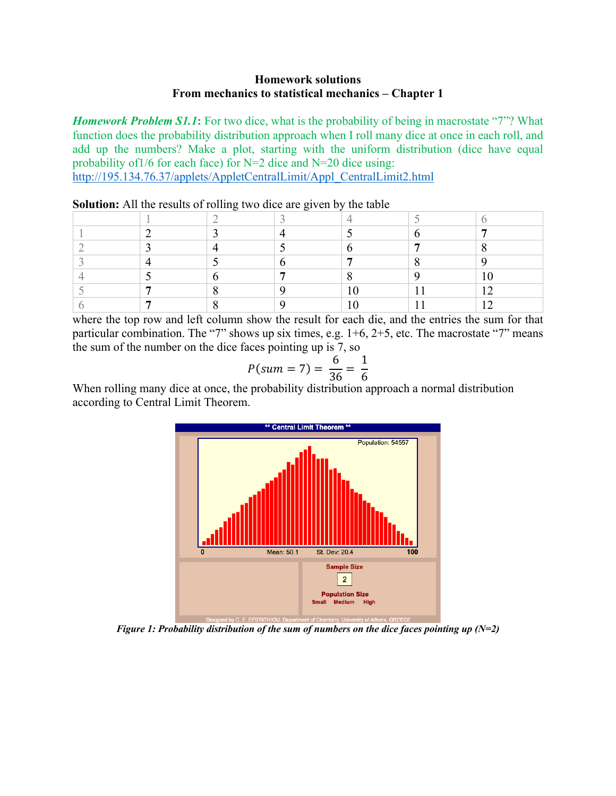## **Homework solutions From mechanics to statistical mechanics – Chapter 1**

*Homework Problem S1.1*: For two dice, what is the probability of being in macrostate "7"? What function does the probability distribution approach when I roll many dice at once in each roll, and add up the numbers? Make a plot, starting with the uniform distribution (dice have equal probability of  $1/6$  for each face) for N=2 dice and N=20 dice using:

http://195.134.76.37/applets/AppletCentralLimit/Appl\_CentralLimit2.html

|  | - |  |   |
|--|---|--|---|
|  |   |  |   |
|  |   |  |   |
|  |   |  |   |
|  |   |  |   |
|  |   |  |   |
|  |   |  | ຳ |
|  |   |  |   |

**Solution:** All the results of rolling two dice are given by the table

where the top row and left column show the result for each die, and the entries the sum for that particular combination. The "7" shows up six times, e.g. 1+6, 2+5, etc. The macrostate "7" means the sum of the number on the dice faces pointing up is 7, so

$$
P(sum = 7) = \frac{6}{36} = \frac{1}{6}
$$

When rolling many dice at once, the probability distribution approach a normal distribution according to Central Limit Theorem.



*Figure 1: Probability distribution of the sum of numbers on the dice faces pointing up (N=2)*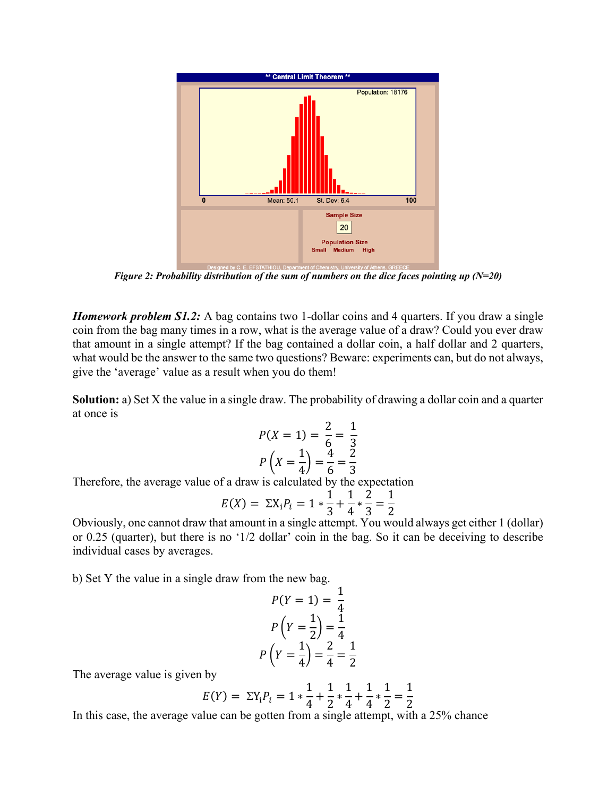

*Figure 2: Probability distribution of the sum of numbers on the dice faces pointing up (N=20)*

*Homework problem S1.2:* A bag contains two 1-dollar coins and 4 quarters. If you draw a single coin from the bag many times in a row, what is the average value of a draw? Could you ever draw that amount in a single attempt? If the bag contained a dollar coin, a half dollar and 2 quarters, what would be the answer to the same two questions? Beware: experiments can, but do not always, give the 'average' value as a result when you do them!

**Solution:** a) Set X the value in a single draw. The probability of drawing a dollar coin and a quarter at once is

$$
P(X = 1) = \frac{2}{6} = \frac{1}{3}
$$

$$
P\left(X = \frac{1}{4}\right) = \frac{4}{6} = \frac{2}{3}
$$

Therefore, the average value of a draw is calculated by the expectation

$$
E(X) = \Sigma X_i P_i = 1 * \frac{1}{3} + \frac{1}{4} * \frac{2}{3} = \frac{1}{2}
$$

Obviously, one cannot draw that amount in a single attempt. You would always get either 1 (dollar) or 0.25 (quarter), but there is no '1/2 dollar' coin in the bag. So it can be deceiving to describe individual cases by averages.

b) Set Y the value in a single draw from the new bag.

$$
P(Y = 1) = \frac{1}{4}
$$

$$
P\left(Y = \frac{1}{2}\right) = \frac{1}{4}
$$

$$
P\left(Y = \frac{1}{4}\right) = \frac{2}{4} = \frac{1}{2}
$$

The average value is given by

$$
E(Y) = \Sigma Y_i P_i = 1 * \frac{1}{4} + \frac{1}{2} * \frac{1}{4} + \frac{1}{4} * \frac{1}{2} = \frac{1}{2}
$$

In this case, the average value can be gotten from a single attempt, with a 25% chance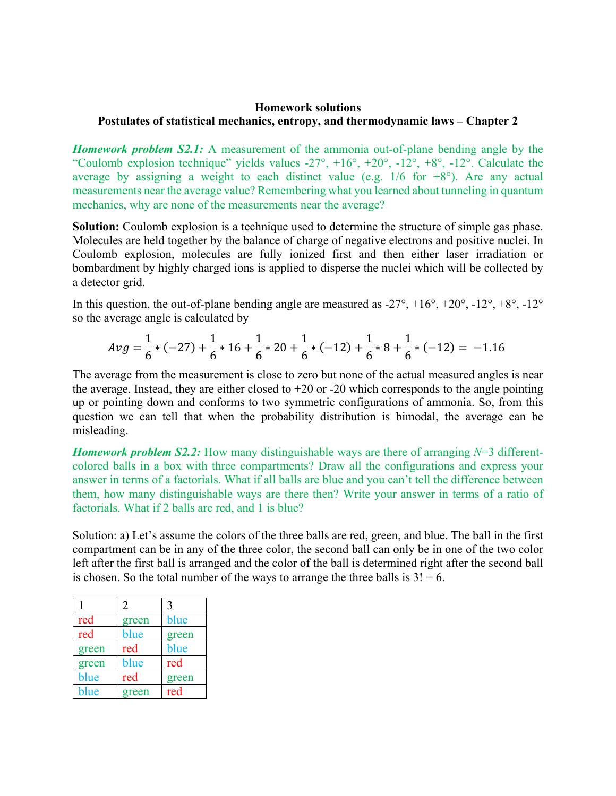# **Homework solutions Postulates of statistical mechanics, entropy, and thermodynamic laws – Chapter 2**

*Homework problem S2.1:* A measurement of the ammonia out-of-plane bending angle by the "Coulomb explosion technique" yields values  $-27^\circ$ ,  $+16^\circ$ ,  $+20^\circ$ ,  $-12^\circ$ ,  $+8^\circ$ ,  $-12^\circ$ . Calculate the average by assigning a weight to each distinct value (e.g.  $1/6$  for  $+8^{\circ}$ ). Are any actual measurements near the average value? Remembering what you learned about tunneling in quantum mechanics, why are none of the measurements near the average?

**Solution:** Coulomb explosion is a technique used to determine the structure of simple gas phase. Molecules are held together by the balance of charge of negative electrons and positive nuclei. In Coulomb explosion, molecules are fully ionized first and then either laser irradiation or bombardment by highly charged ions is applied to disperse the nuclei which will be collected by a detector grid.

In this question, the out-of-plane bending angle are measured as  $-27^\circ$ ,  $+16^\circ$ ,  $+20^\circ$ ,  $-12^\circ$ ,  $+8^\circ$ ,  $-12^\circ$ so the average angle is calculated by

$$
Avg = \frac{1}{6} * (-27) + \frac{1}{6} * 16 + \frac{1}{6} * 20 + \frac{1}{6} * (-12) + \frac{1}{6} * 8 + \frac{1}{6} * (-12) = -1.16
$$

The average from the measurement is close to zero but none of the actual measured angles is near the average. Instead, they are either closed to  $+20$  or  $-20$  which corresponds to the angle pointing up or pointing down and conforms to two symmetric configurations of ammonia. So, from this question we can tell that when the probability distribution is bimodal, the average can be misleading.

*Homework problem S2.2:* How many distinguishable ways are there of arranging *N*=3 differentcolored balls in a box with three compartments? Draw all the configurations and express your answer in terms of a factorials. What if all balls are blue and you can't tell the difference between them, how many distinguishable ways are there then? Write your answer in terms of a ratio of factorials. What if 2 balls are red, and 1 is blue?

Solution: a) Let's assume the colors of the three balls are red, green, and blue. The ball in the first compartment can be in any of the three color, the second ball can only be in one of the two color left after the first ball is arranged and the color of the ball is determined right after the second ball is chosen. So the total number of the ways to arrange the three balls is  $3! = 6$ .

|       | 2     |       |
|-------|-------|-------|
| red   | green | blue  |
| red   | blue  | green |
| green | red   | blue  |
| green | blue  | red   |
| blue  | red   | green |
| blue  | green | red   |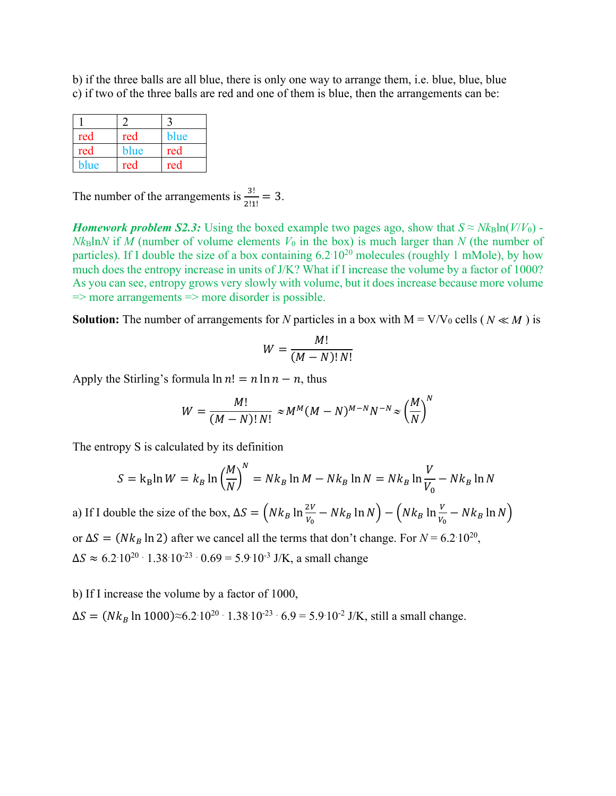b) if the three balls are all blue, there is only one way to arrange them, i.e. blue, blue, blue c) if two of the three balls are red and one of them is blue, then the arrangements can be:

| red  | red  | blue |
|------|------|------|
| red  | blue | red  |
| blue | red  | red  |

The number of the arrangements is  $\frac{3!}{2!1!} = 3$ .

*Homework problem S2.3:* Using the boxed example two pages ago, show that  $S \approx N k_B \ln(V/V_0)$  -*Nk*Bln*N* if *M* (number of volume elements  $V_0$  in the box) is much larger than *N* (the number of particles). If I double the size of a box containing  $6.2 \cdot 10^{20}$  molecules (roughly 1 mMole), by how much does the entropy increase in units of J/K? What if I increase the volume by a factor of 1000? As you can see, entropy grows very slowly with volume, but it does increase because more volume  $\Rightarrow$  more arrangements  $\Rightarrow$  more disorder is possible.

**Solution:** The number of arrangements for *N* particles in a box with  $M = V/V_0$  cells ( $N \ll M$ ) is

$$
W = \frac{M!}{(M-N)! N!}
$$

Apply the Stirling's formula  $\ln n! = n \ln n - n$ , thus

$$
W = \frac{M!}{(M-N)! N!} \approx M^M (M-N)^{M-N} N^{-N} \approx \left(\frac{M}{N}\right)^N
$$

The entropy S is calculated by its definition

$$
S = k_B \ln W = k_B \ln \left(\frac{M}{N}\right)^N = Nk_B \ln M - Nk_B \ln N = Nk_B \ln \frac{V}{V_0} - Nk_B \ln N
$$

a) If I double the size of the box,  $\Delta S = (Nk_B \ln \frac{2V}{V_0} - Nk_B \ln N) - (Nk_B \ln \frac{V}{V_0} - Nk_B \ln N)$ or  $\Delta S = (N k_B \ln 2)$  after we cancel all the terms that don't change. For  $N = 6.2 \cdot 10^{20}$ ,  $\Delta S \approx 6.2 \cdot 10^{20} \cdot 1.38 \cdot 10^{-23} \cdot 0.69 = 5.9 \cdot 10^{-3}$  J/K, a small change

b) If I increase the volume by a factor of 1000,

 $\Delta S = (Nk_B \ln 1000)$ ≈6.2·10<sup>20</sup> · 1.38·10<sup>-23</sup> · 6.9 = 5.9·10<sup>-2</sup> J/K, still a small change.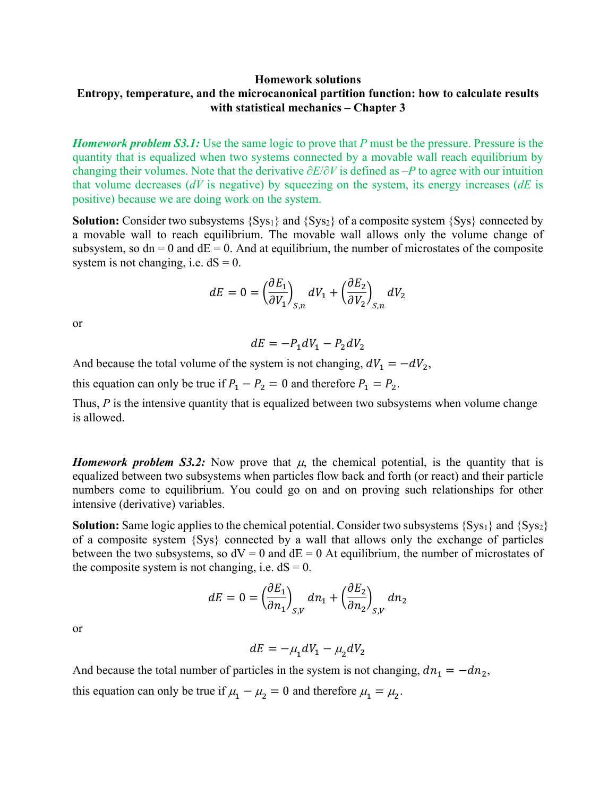# **Homework solutions Entropy, temperature, and the microcanonical partition function: how to calculate results with statistical mechanics – Chapter 3**

*Homework problem S3.1:* Use the same logic to prove that *P* must be the pressure. Pressure is the quantity that is equalized when two systems connected by a movable wall reach equilibrium by changing their volumes. Note that the derivative ∂*E*/∂*V* is defined as –*P* to agree with our intuition that volume decreases (*dV* is negative) by squeezing on the system, its energy increases (*dE* is positive) because we are doing work on the system.

**Solution:** Consider two subsystems {Sys<sub>1</sub>} and {Sys<sub>2</sub>} of a composite system {Sys} connected by a movable wall to reach equilibrium. The movable wall allows only the volume change of subsystem, so  $dn = 0$  and  $dE = 0$ . And at equilibrium, the number of microstates of the composite system is not changing, i.e.  $dS = 0$ .

$$
dE = 0 = \left(\frac{\partial E_1}{\partial V_1}\right)_{S,n} dV_1 + \left(\frac{\partial E_2}{\partial V_2}\right)_{S,n} dV_2
$$

or

$$
dE = -P_1 dV_1 - P_2 dV_2
$$

And because the total volume of the system is not changing,  $dV_1 = -dV_2$ ,

this equation can only be true if  $P_1 - P_2 = 0$  and therefore  $P_1 = P_2$ .

Thus, *P* is the intensive quantity that is equalized between two subsystems when volume change is allowed.

*Homework problem S3.2:* Now prove that  $\mu$ , the chemical potential, is the quantity that is equalized between two subsystems when particles flow back and forth (or react) and their particle numbers come to equilibrium. You could go on and on proving such relationships for other intensive (derivative) variables.

**Solution:** Same logic applies to the chemical potential. Consider two subsystems {Sys<sub>1</sub>} and {Sys<sub>2</sub>} of a composite system {Sys} connected by a wall that allows only the exchange of particles between the two subsystems, so  $dV = 0$  and  $dE = 0$  At equilibrium, the number of microstates of the composite system is not changing, i.e.  $dS = 0$ .

$$
dE = 0 = \left(\frac{\partial E_1}{\partial n_1}\right)_{S,V} dn_1 + \left(\frac{\partial E_2}{\partial n_2}\right)_{S,V} dn_2
$$

or

$$
dE = -\mu_1 dV_1 - \mu_2 dV_2
$$

And because the total number of particles in the system is not changing,  $dn_1 = -dn_2$ , this equation can only be true if  $\mu_1 - \mu_2 = 0$  and therefore  $\mu_1 = \mu_2$ .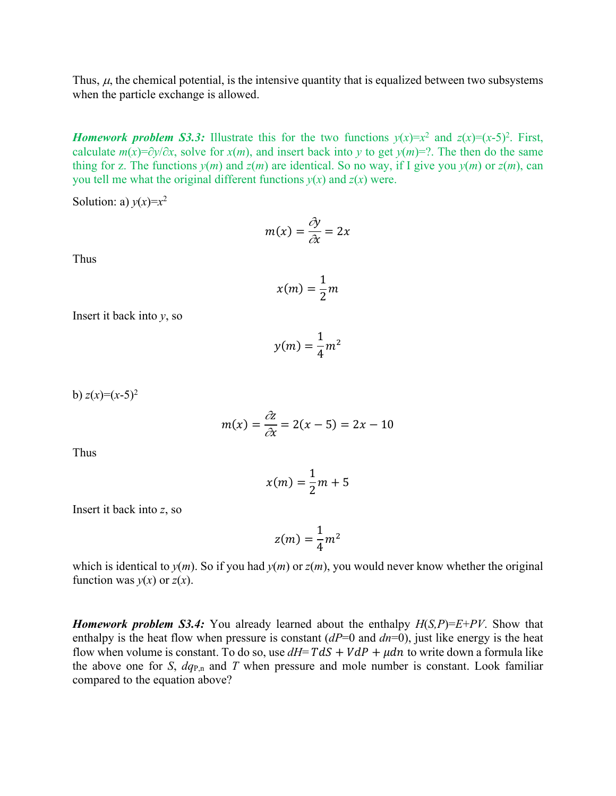Thus,  $\mu$ , the chemical potential, is the intensive quantity that is equalized between two subsystems when the particle exchange is allowed.

*Homework problem S3.3:* Illustrate this for the two functions  $y(x)=x^2$  and  $z(x)=(x-5)^2$ . First, calculate  $m(x)=\partial y/\partial x$ , solve for *x*(*m*), and insert back into *y* to get *y*(*m*)=?. The then do the same thing for z. The functions  $y(m)$  and  $z(m)$  are identical. So no way, if I give you  $y(m)$  or  $z(m)$ , can you tell me what the original different functions  $y(x)$  and  $z(x)$  were.

Solution: a)  $y(x)=x^2$ 

$$
m(x) = \frac{\partial y}{\partial x} = 2x
$$

Thus

$$
x(m) = \frac{1}{2}m
$$

Insert it back into *y*, so

$$
y(m) = \frac{1}{4}m^2
$$

b)  $z(x)=(x-5)^2$ 

$$
m(x) = \frac{\partial z}{\partial x} = 2(x - 5) = 2x - 10
$$

Thus

$$
x(m) = \frac{1}{2}m + 5
$$

Insert it back into *z*, so

$$
z(m) = \frac{1}{4}m^2
$$

which is identical to  $y(m)$ . So if you had  $y(m)$  or  $z(m)$ , you would never know whether the original function was  $y(x)$  or  $z(x)$ .

*Homework problem S3.4:* You already learned about the enthalpy *H*(*S,P*)=*E*+*PV*. Show that enthalpy is the heat flow when pressure is constant (*dP*=0 and *dn*=0), just like energy is the heat flow when volume is constant. To do so, use  $dH = T dS + V dP + \mu dn$  to write down a formula like the above one for *S*,  $dq_{P,n}$  and *T* when pressure and mole number is constant. Look familiar compared to the equation above?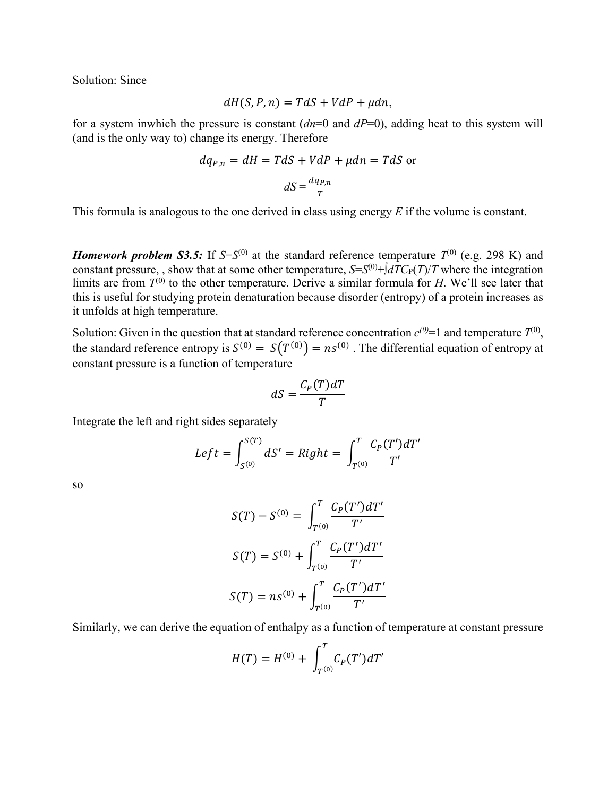Solution: Since

$$
dH(S, P, n) = TdS + VdP + \mu dn,
$$

for a system inwhich the pressure is constant (*dn*=0 and *dP*=0), adding heat to this system will (and is the only way to) change its energy. Therefore

$$
dq_{P,n} = dH = TdS + VdP + \mu dn = TdS \text{ or}
$$

$$
dS = \frac{dq_{P,n}}{T}
$$

This formula is analogous to the one derived in class using energy *E* if the volume is constant.

*Homework problem S3.5:* If  $S = S^{(0)}$  at the standard reference temperature  $T^{(0)}$  (e.g. 298 K) and constant pressure, , show that at some other temperature,  $S=S^{(0)}+f dTC_{P}(T)/T$  where the integration limits are from  $T^{(0)}$  to the other temperature. Derive a similar formula for *H*. We'll see later that this is useful for studying protein denaturation because disorder (entropy) of a protein increases as it unfolds at high temperature.

Solution: Given in the question that at standard reference concentration  $c^{(0)}=1$  and temperature  $T^{(0)}$ , the standard reference entropy is  $S^{(0)} = S(T^{(0)}) = ns^{(0)}$ . The differential equation of entropy at constant pressure is a function of temperature

$$
dS = \frac{C_P(T)dT}{T}
$$

Integrate the left and right sides separately

$$
Left = \int_{S^{(0)}}^{S(T)} dS' = Right = \int_{T^{(0)}}^{T} \frac{C_P(T')dT'}{T'}
$$

so

$$
S(T) - S^{(0)} = \int_{T^{(0)}}^{T} \frac{C_P(T')dT'}{T'}
$$

$$
S(T) = S^{(0)} + \int_{T^{(0)}}^{T} \frac{C_P(T')dT'}{T'}
$$

$$
S(T) = ns^{(0)} + \int_{T^{(0)}}^{T} \frac{C_P(T')dT'}{T'}
$$

Similarly, we can derive the equation of enthalpy as a function of temperature at constant pressure

$$
H(T) = H^{(0)} + \int_{T^{(0)}}^{T} C_P(T') dT'
$$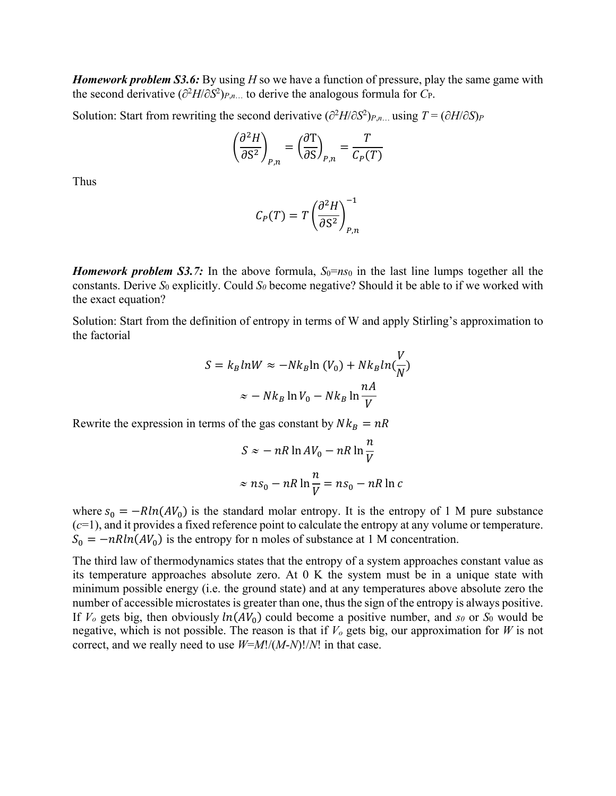*Homework problem S3.6:* By using *H* so we have a function of pressure, play the same game with the second derivative ( $\partial^2 H/\partial S^2$ )<sub>*P*,*n*… to derive the analogous formula for *C*<sub>P</sub>.</sub>

Solution: Start from rewriting the second derivative  $(\partial^2 H/\partial S^2)_{P,n}$  using  $T = (\partial H/\partial S)_P$ 

$$
\left(\frac{\partial^2 H}{\partial S^2}\right)_{P,n} = \left(\frac{\partial T}{\partial S}\right)_{P,n} = \frac{T}{C_P(T)}
$$

Thus

$$
C_P(T) = T \left(\frac{\partial^2 H}{\partial S^2}\right)_{P,n}^{-1}
$$

*Homework problem S3.7:* In the above formula,  $S_0=n s_0$  in the last line lumps together all the constants. Derive  $S_0$  explicitly. Could  $S_0$  become negative? Should it be able to if we worked with the exact equation?

Solution: Start from the definition of entropy in terms of W and apply Stirling's approximation to the factorial

$$
S = k_B lnW \approx -Nk_B ln (V_0) + Nk_B ln(\frac{V}{N})
$$

$$
\approx -Nk_B ln V_0 - Nk_B ln \frac{nA}{V}
$$

Rewrite the expression in terms of the gas constant by  $Nk_B = nR$ 

$$
S \approx -nR \ln AV_0 - nR \ln \frac{n}{V}
$$
  

$$
\approx nS_0 - nR \ln \frac{n}{V} = nS_0 - nR \ln C
$$

where  $s_0 = -R\ln(AV_0)$  is the standard molar entropy. It is the entropy of 1 M pure substance (*c*=1), and it provides a fixed reference point to calculate the entropy at any volume or temperature.  $S_0 = -nRln(AV_0)$  is the entropy for n moles of substance at 1 M concentration.

The third law of thermodynamics states that the entropy of a system approaches constant value as its temperature approaches absolute zero. At 0 K the system must be in a unique state with minimum possible energy (i.e. the ground state) and at any temperatures above absolute zero the number of accessible microstates is greater than one, thus the sign of the entropy is always positive. If  $V_0$  gets big, then obviously  $ln(AV_0)$  could become a positive number, and  $s_0$  or  $S_0$  would be negative, which is not possible. The reason is that if *Vo* gets big, our approximation for *W* is not correct, and we really need to use *W*=*M*!/(*M*-*N*)!/*N*! in that case.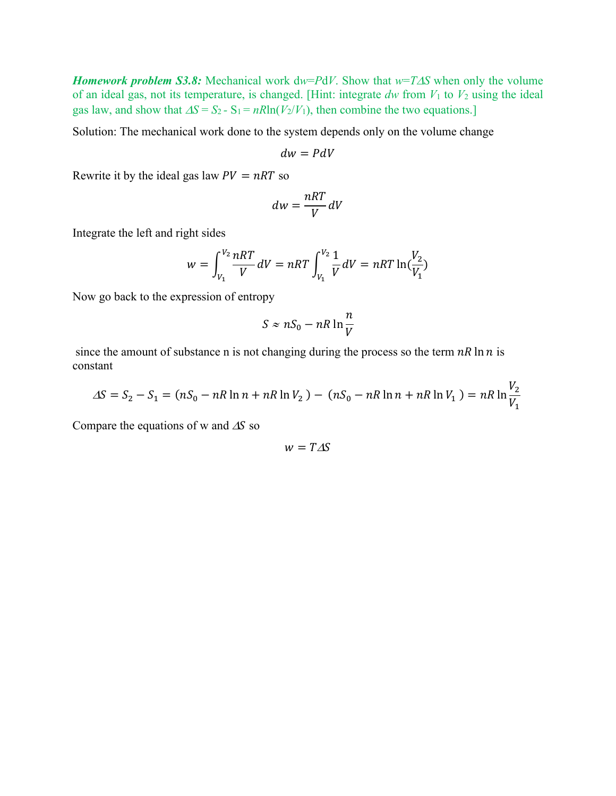*Homework problem S3.8:* Mechanical work  $dw = PdV$ . Show that  $w = T\Delta S$  when only the volume of an ideal gas, not its temperature, is changed. [Hint: integrate  $dw$  from  $V_1$  to  $V_2$  using the ideal gas law, and show that  $\Delta S = S_2 - S_1 = nR\ln(V_2/V_1)$ , then combine the two equations.]

Solution: The mechanical work done to the system depends only on the volume change

$$
dw = PdV
$$

Rewrite it by the ideal gas law  $PV = nRT$  so

$$
dw = \frac{nRT}{V}dV
$$

Integrate the left and right sides

$$
w = \int_{V_1}^{V_2} \frac{nRT}{V} dV = nRT \int_{V_1}^{V_2} \frac{1}{V} dV = nRT \ln(\frac{V_2}{V_1})
$$

Now go back to the expression of entropy

$$
S \approx nS_0 - nR \ln \frac{n}{V}
$$

since the amount of substance n is not changing during the process so the term  $nR \ln n$  is constant

$$
\Delta S = S_2 - S_1 = (nS_0 - nR \ln n + nR \ln V_2) - (nS_0 - nR \ln n + nR \ln V_1) = nR \ln \frac{V_2}{V_1}
$$

Compare the equations of w and  $\Delta S$  so

$$
w = T \Delta S
$$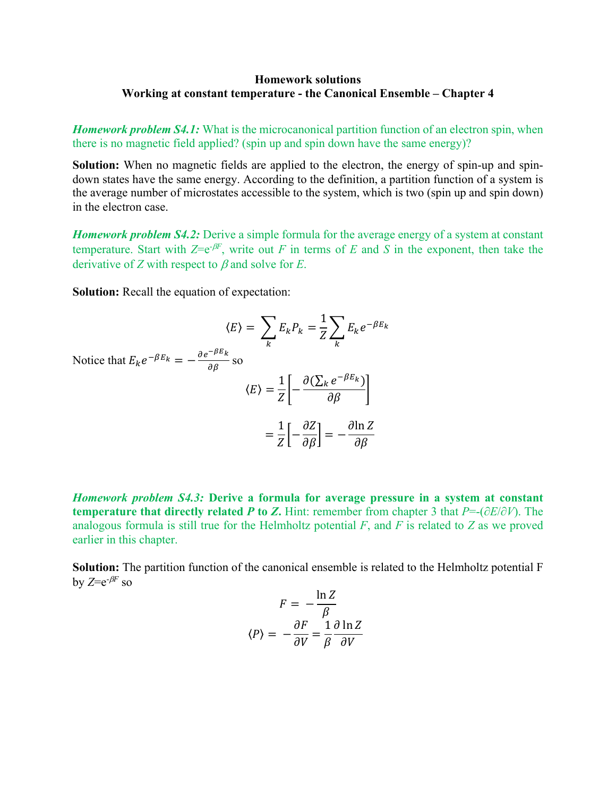#### **Homework solutions Working at constant temperature - the Canonical Ensemble – Chapter 4**

*Homework problem S4.1:* What is the microcanonical partition function of an electron spin, when there is no magnetic field applied? (spin up and spin down have the same energy)?

**Solution:** When no magnetic fields are applied to the electron, the energy of spin-up and spindown states have the same energy. According to the definition, a partition function of a system is the average number of microstates accessible to the system, which is two (spin up and spin down) in the electron case.

*Homework problem S4.2:* Derive a simple formula for the average energy of a system at constant temperature. Start with  $Z=e^{-\beta F}$ , write out *F* in terms of *E* and *S* in the exponent, then take the derivative of *Z* with respect to  $\beta$  and solve for *E*.

**Solution:** Recall the equation of expectation:

$$
\langle E \rangle = \sum_{k} E_{k} P_{k} = \frac{1}{Z} \sum_{k} E_{k} e^{-\beta E_{k}}
$$
  
Notice that  $E_{k} e^{-\beta E_{k}} = -\frac{\partial e^{-\beta E_{k}}}{\partial \beta}$  so  

$$
\langle E \rangle = \frac{1}{Z} \left[ -\frac{\partial (\sum_{k} e^{-\beta E_{k}})}{\partial \beta} \right]
$$

$$
= \frac{1}{Z} \left[ -\frac{\partial Z}{\partial \beta} \right] = -\frac{\partial \ln Z}{\partial \beta}
$$

*Homework problem S4.3:* **Derive a formula for average pressure in a system at constant temperature that directly related** *P* **to** *Z***.** Hint: remember from chapter 3 that *P*=-(∂*E*/∂*V*). The analogous formula is still true for the Helmholtz potential *F*, and *F* is related to *Z* as we proved earlier in this chapter.

**Solution:** The partition function of the canonical ensemble is related to the Helmholtz potential F by  $Z=e^{-\beta F}$  so

$$
F = -\frac{\ln Z}{\beta}
$$

$$
\langle P \rangle = -\frac{\partial F}{\partial V} = \frac{1}{\beta} \frac{\partial \ln Z}{\partial V}
$$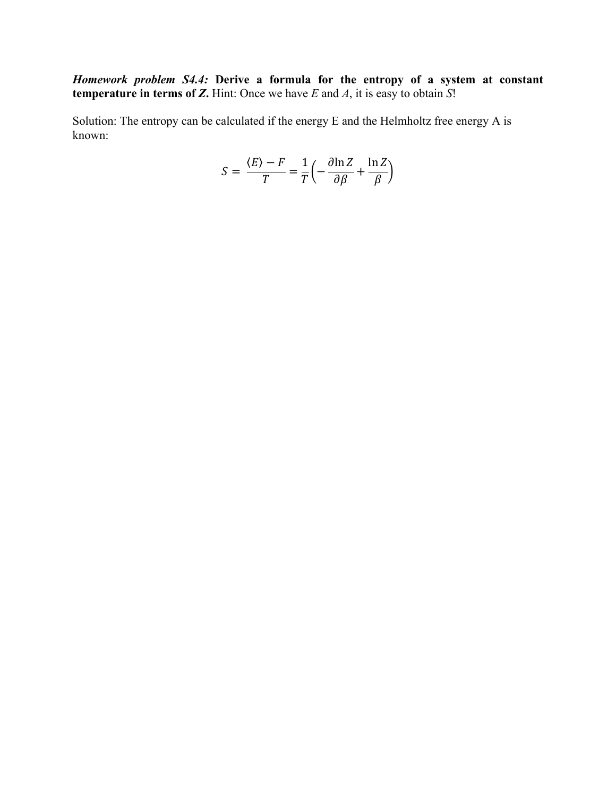*Homework problem S4.4:* **Derive a formula for the entropy of a system at constant temperature in terms of** *Z***.** Hint: Once we have *E* and *A*, it is easy to obtain *S*!

Solution: The entropy can be calculated if the energy E and the Helmholtz free energy A is known:

$$
S = \frac{\langle E \rangle - F}{T} = \frac{1}{T} \left( -\frac{\partial \ln Z}{\partial \beta} + \frac{\ln Z}{\beta} \right)
$$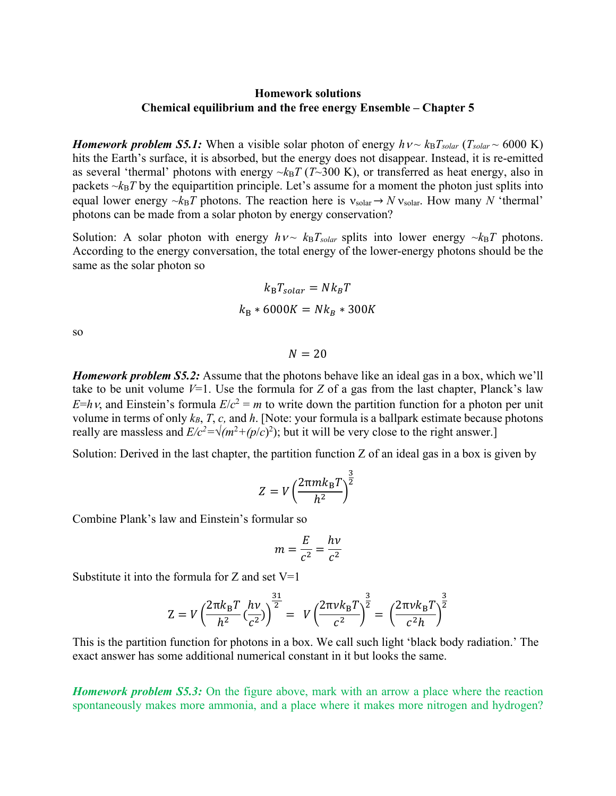## **Homework solutions Chemical equilibrium and the free energy Ensemble – Chapter 5**

*Homework problem S5.1:* When a visible solar photon of energy  $h v \sim k_B T_{solar} (T_{solar} \sim 6000 \text{ K})$ hits the Earth's surface, it is absorbed, but the energy does not disappear. Instead, it is re-emitted as several 'thermal' photons with energy  $-k_BT(T-300 \text{ K})$ , or transferred as heat energy, also in packets  $-k_BT$  by the equipartition principle. Let's assume for a moment the photon just splits into equal lower energy  $\sim k_BT$  photons. The reaction here is  $v_{solar} \rightarrow Nv_{solar}$ . How many *N* 'thermal' photons can be made from a solar photon by energy conservation?

Solution: A solar photon with energy  $h v \sim k_B T_{solar}$  splits into lower energy  $\sim k_B T$  photons. According to the energy conversation, the total energy of the lower-energy photons should be the same as the solar photon so

$$
k_{\rm B}T_{solar} = Nk_{\rm B}T
$$

$$
k_{\rm B} * 6000K = Nk_{\rm B} * 300K
$$

so

 $N = 20$ 

*Homework problem S5.2:* Assume that the photons behave like an ideal gas in a box, which we'll take to be unit volume  $V=1$ . Use the formula for Z of a gas from the last chapter, Planck's law *E*=*h* $\nu$ , and Einstein's formula *E*/*c*<sup>2</sup> = *m* to write down the partition function for a photon per unit volume in terms of only  $k_B$ , *T*, *c*, and *h*. [Note: your formula is a ballpark estimate because photons really are massless and  $E/c^2 = \sqrt{(m^2 + (p/c)^2)}$ ; but it will be very close to the right answer.]

Solution: Derived in the last chapter, the partition function Z of an ideal gas in a box is given by

$$
Z = V \left(\frac{2\pi mk_{\rm B}T}{h^2}\right)^{\frac{3}{2}}
$$

Combine Plank's law and Einstein's formular so

$$
m = \frac{E}{c^2} = \frac{hv}{c^2}
$$

Substitute it into the formula for  $Z$  and set  $V=1$ 

$$
Z = V \left( \frac{2 \pi k_B T}{h^2} \left( \frac{h \nu}{c^2} \right) \right)^{\frac{31}{2}} = V \left( \frac{2 \pi \nu k_B T}{c^2} \right)^{\frac{3}{2}} = \left( \frac{2 \pi \nu k_B T}{c^2 h} \right)^{\frac{3}{2}}
$$

This is the partition function for photons in a box. We call such light 'black body radiation.' The exact answer has some additional numerical constant in it but looks the same.

*Homework problem S5.3:* On the figure above, mark with an arrow a place where the reaction spontaneously makes more ammonia, and a place where it makes more nitrogen and hydrogen?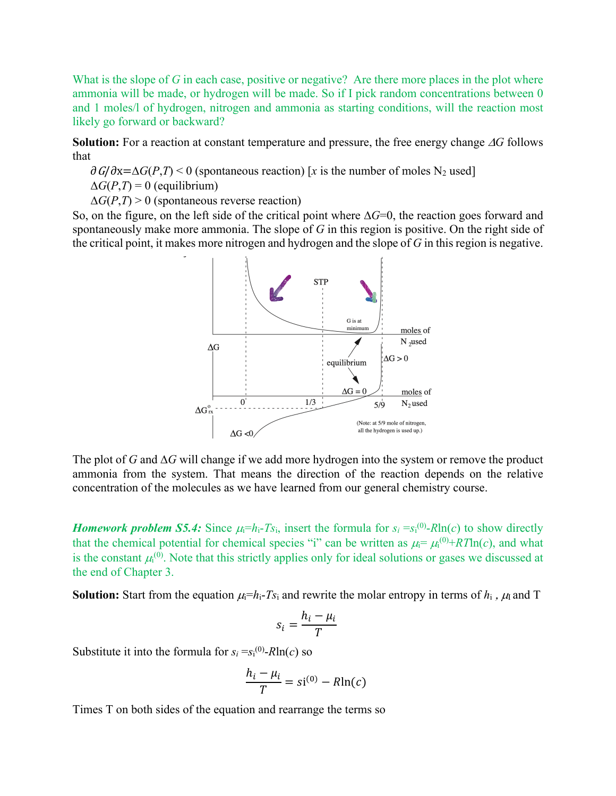What is the slope of *G* in each case, positive or negative? Are there more places in the plot where ammonia will be made, or hydrogen will be made. So if I pick random concentrations between 0 and 1 moles/l of hydrogen, nitrogen and ammonia as starting conditions, will the reaction most likely go forward or backward?

**Solution:** For a reaction at constant temperature and pressure, the free energy change  $\Delta G$  follows that

 $\partial G/\partial x = \Delta G(P,T) \leq 0$  (spontaneous reaction) [*x* is the number of moles N<sub>2</sub> used]

 $\Delta G(P,T) = 0$  (equilibrium)

 $\Delta G(P,T) > 0$  (spontaneous reverse reaction)

So, on the figure, on the left side of the critical point where  $\Delta G=0$ , the reaction goes forward and spontaneously make more ammonia. The slope of *G* in this region is positive. On the right side of the critical point, it makes more nitrogen and hydrogen and the slope of *G* in this region is negative.



The plot of *G* and  $\Delta G$  will change if we add more hydrogen into the system or remove the product ammonia from the system. That means the direction of the reaction depends on the relative concentration of the molecules as we have learned from our general chemistry course.

*Homework problem S5.4:* Since  $\mu_i = h_i - Ts_i$ , insert the formula for  $s_i = s_i^{(0)} - R \ln(c)$  to show directly that the chemical potential for chemical species "i" can be written as  $\mu_i = \mu_i^{(0)} + RT\ln(c)$ , and what is the constant  $\mu_i^{(0)}$ . Note that this strictly applies only for ideal solutions or gases we discussed at the end of Chapter 3.

**Solution:** Start from the equation  $\mu_i=h_i-Ts_i$  and rewrite the molar entropy in terms of  $h_i$ ,  $\mu_i$  and T

$$
s_i = \frac{h_i - \mu_i}{T}
$$

Substitute it into the formula for  $s_i = s_i^{(0)} - R \ln(c)$  so

$$
\frac{h_i - \mu_i}{T} = si^{(0)} - R\ln(c)
$$

Times T on both sides of the equation and rearrange the terms so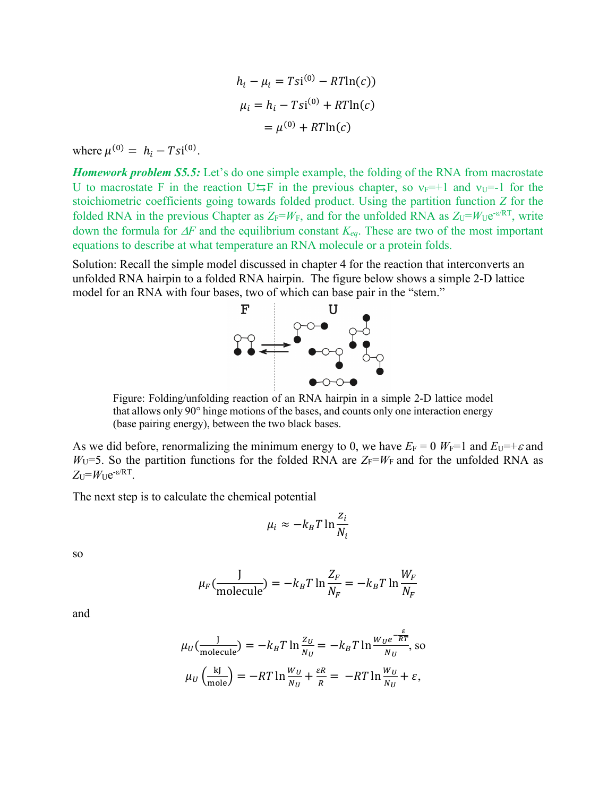$$
h_i - \mu_i = Tsi^{(0)} - RTln(c)
$$

$$
\mu_i = h_i - Tsi^{(0)} + RTln(c)
$$

$$
= \mu^{(0)} + RTln(c)
$$

where  $\mu^{(0)} = h_i - Tsi^{(0)}$ .

*Homework problem S5.5:* Let's do one simple example, the folding of the RNA from macrostate U to macrostate F in the reaction U $\leq$ F in the previous chapter, so  $v_F=+1$  and  $v_U=-1$  for the stoichiometric coefficients going towards folded product. Using the partition function *Z* for the folded RNA in the previous Chapter as  $Z_F = W_F$ , and for the unfolded RNA as  $Z_U = W_Ue^{-\varepsilon/RT}$ , write down the formula for  $\Delta F$  and the equilibrium constant  $K_{eq}$ . These are two of the most important equations to describe at what temperature an RNA molecule or a protein folds.

Solution: Recall the simple model discussed in chapter 4 for the reaction that interconverts an unfolded RNA hairpin to a folded RNA hairpin. The figure below shows a simple 2-D lattice model for an RNA with four bases, two of which can base pair in the "stem."



Figure: Folding/unfolding reaction of an RNA hairpin in a simple 2-D lattice model that allows only 90° hinge motions of the bases, and counts only one interaction energy (base pairing energy), between the two black bases.

As we did before, renormalizing the minimum energy to 0, we have  $E_F = 0$   $W_F = 1$  and  $E_U = +\varepsilon$  and  $W_{U}$ =5. So the partition functions for the folded RNA are  $Z_{F} = W_{F}$  and for the unfolded RNA as  $Z_U = W_U e^{-\varepsilon/RT}$ .

The next step is to calculate the chemical potential

$$
\mu_i \approx -k_B T \ln \frac{z_i}{N_i}
$$

so

$$
\mu_F(\frac{J}{\text{molecule}}) = -k_B T \ln \frac{Z_F}{N_F} = -k_B T \ln \frac{W_F}{N_F}
$$

and

$$
\mu_U(\frac{J}{\text{molecule}}) = -k_B T \ln \frac{z_U}{N_U} = -k_B T \ln \frac{w_U e^{-\frac{\varepsilon}{RT}}}{N_U}, \text{ so}
$$

$$
\mu_U(\frac{kJ}{\text{mole}}) = -RT \ln \frac{w_U}{N_U} + \frac{\varepsilon R}{R} = -RT \ln \frac{w_U}{N_U} + \varepsilon,
$$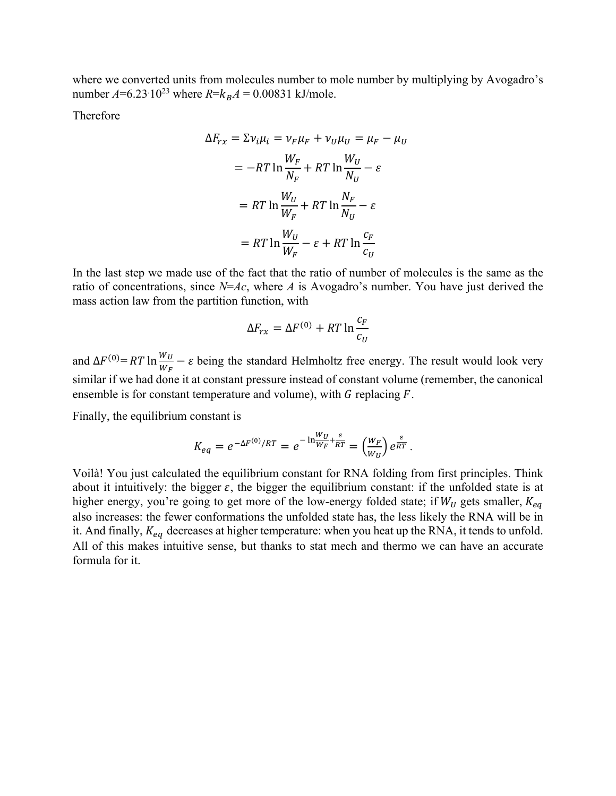where we converted units from molecules number to mole number by multiplying by Avogadro's number  $A=6.23 \cdot 10^{23}$  where  $R=k_B A = 0.00831$  kJ/mole.

Therefore

$$
\Delta F_{rx} = \Sigma v_i \mu_i = v_F \mu_F + v_U \mu_U = \mu_F - \mu_U
$$
  
=  $-RT \ln \frac{W_F}{N_F} + RT \ln \frac{W_U}{N_U} - \varepsilon$   
=  $RT \ln \frac{W_U}{W_F} + RT \ln \frac{N_F}{N_U} - \varepsilon$   
=  $RT \ln \frac{W_U}{W_F} - \varepsilon + RT \ln \frac{c_F}{c_U}$ 

In the last step we made use of the fact that the ratio of number of molecules is the same as the ratio of concentrations, since *N*=*Ac*, where *A* is Avogadro's number. You have just derived the mass action law from the partition function, with

$$
\Delta F_{rx} = \Delta F^{(0)} + RT \ln \frac{c_F}{c_U}
$$

and  $\Delta F^{(0)} = RT \ln \frac{W_U}{W_F} - \varepsilon$  being the standard Helmholtz free energy. The result would look very similar if we had done it at constant pressure instead of constant volume (remember, the canonical ensemble is for constant temperature and volume), with  $G$  replacing  $F$ .

Finally, the equilibrium constant is

$$
K_{eq} = e^{-\Delta F^{(0)}/RT} = e^{-\ln\frac{W_U}{W_F} + \frac{\varepsilon}{RT}} = \left(\frac{W_F}{W_U}\right)e^{\frac{\varepsilon}{RT}}.
$$

Voilà! You just calculated the equilibrium constant for RNA folding from first principles. Think about it intuitively: the bigger  $\varepsilon$ , the bigger the equilibrium constant: if the unfolded state is at higher energy, you're going to get more of the low-energy folded state; if  $W_U$  gets smaller,  $K_{eq}$ also increases: the fewer conformations the unfolded state has, the less likely the RNA will be in it. And finally,  $K_{eq}$  decreases at higher temperature: when you heat up the RNA, it tends to unfold. All of this makes intuitive sense, but thanks to stat mech and thermo we can have an accurate formula for it.